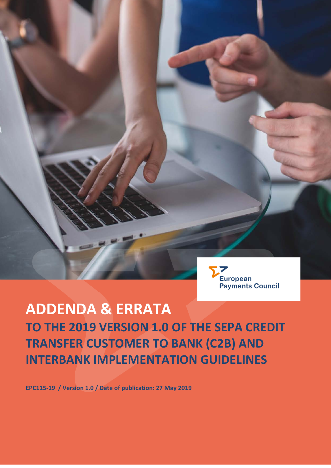

**European Payments Council AISBL** Cours Saint-Michel, 30 - B - 1040 Brussels

 $\sim$ 

Entreprise No. 268.92 secretariat@epc-cep.eu

# **ADDENDA & ERRATA TO THE 2019 VERSION 1.0 OF THE SEPA CREDIT TRANSFER CUSTOMER TO BANK (C2B) AND INTERBANK IMPLEMENTATION GUIDELINES**

**EPC115-19 / Version 1.0 / Date of publication: 27 May 2019**

**ADDENDA & ERRATA**

**interbank implementation guidelines**

**Credit Transfer customer to bank (C2B) and** 

**to the 2019 version 1.0 of the SEPA**

**Date of publication: 27 May 2019**

**Version 1.0**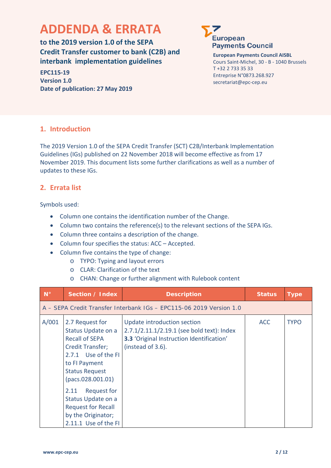# **ADDENDA & ERRATA**

**to the 2019 version 1.0 of the SEPA Credit Transfer customer to bank (C2B) and interbank implementation guidelines**

**EPC115-19 Version 1.0 Date of publication: 27 May 2019**



**European Payments Council AISBL** Cours Saint-Michel, 30 - B - 1040 Brussels T +32 2 733 35 33 Entreprise N°0873.268.927 secretariat@epc-cep.eu

# **1. Introduction**

The 2019 Version 1.0 of the SEPA Credit Transfer (SCT) C2B/Interbank Implementation Guidelines (IGs) published on 22 November 2018 will become effective as from 17 November 2019. This document lists some further clarifications as well as a number of updates to these IGs.

## **2. Errata list**

Symbols used:

- Column one contains the identification number of the Change.
- Column two contains the reference(s) to the relevant sections of the SEPA IGs.
- Column three contains a description of the change.
- Column four specifies the status: ACC Accepted.
- Column five contains the type of change:
	- o TYPO: Typing and layout errors
	- o CLAR: Clarification of the text
	- o CHAN: Change or further alignment with Rulebook content

| $N^{\circ}$ | Section / Index                                                                                                                                                                                                                                                                                         | <b>Description</b>                                                                                                                                 | <b>Status</b> | Type        |
|-------------|---------------------------------------------------------------------------------------------------------------------------------------------------------------------------------------------------------------------------------------------------------------------------------------------------------|----------------------------------------------------------------------------------------------------------------------------------------------------|---------------|-------------|
|             |                                                                                                                                                                                                                                                                                                         | A – SEPA Credit Transfer Interbank IGs – EPC115-06 2019 Version 1.0                                                                                |               |             |
| A/001       | 2.7 Request for<br>Status Update on a<br><b>Recall of SEPA</b><br><b>Credit Transfer;</b><br>2.7.1 Use of the FI<br>to FI Payment<br><b>Status Request</b><br>(pacs.028.001.01)<br>Request for<br>2.11<br>Status Update on a<br><b>Request for Recall</b><br>by the Originator;<br>2.11.1 Use of the FI | Update introduction section<br>2.7.1/2.11.1/2.19.1 (see bold text): Index<br><b>3.3 'Original Instruction Identification'</b><br>(instead of 3.6). | <b>ACC</b>    | <b>TYPO</b> |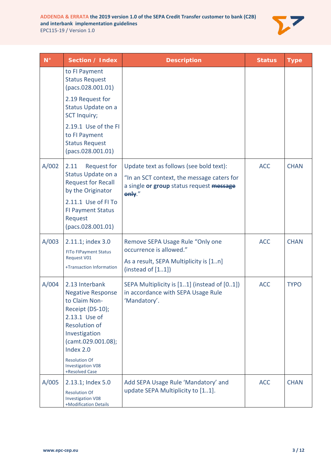

| $N^{\circ}$ | Section / Index                                                                                                                                                              | <b>Description</b>                                                                                                                          | <b>Status</b> | <b>Type</b> |
|-------------|------------------------------------------------------------------------------------------------------------------------------------------------------------------------------|---------------------------------------------------------------------------------------------------------------------------------------------|---------------|-------------|
|             | to FI Payment<br><b>Status Request</b><br>(pacs.028.001.01)                                                                                                                  |                                                                                                                                             |               |             |
|             | 2.19 Request for<br>Status Update on a<br><b>SCT Inquiry;</b>                                                                                                                |                                                                                                                                             |               |             |
|             | 2.19.1 Use of the FI<br>to FI Payment<br><b>Status Request</b><br>(pacs.028.001.01)                                                                                          |                                                                                                                                             |               |             |
| A/002       | <b>Request for</b><br>2.11<br>Status Update on a<br><b>Request for Recall</b><br>by the Originator                                                                           | Update text as follows (see bold text):<br>"In an SCT context, the message caters for<br>a single or group status request message<br>only." | <b>ACC</b>    | <b>CHAN</b> |
|             | 2.11.1 Use of FI To<br><b>FI Payment Status</b><br>Request<br>(pacs.028.001.01)                                                                                              |                                                                                                                                             |               |             |
| A/003       | 2.11.1; index 3.0<br><b>FITo FIPayment Status</b><br><b>Request V01</b><br>+Transaction Information                                                                          | Remove SEPA Usage Rule "Only one<br>occurrence is allowed."<br>As a result, SEPA Multiplicity is [1n]<br>(insteady of [11])                 | <b>ACC</b>    | <b>CHAN</b> |
| A/004       | 2.13 Interbank<br><b>Negative Response</b><br>to Claim Non-<br>Receipt (DS-10);<br>2.13.1 Use of<br><b>Resolution of</b><br>Investigation<br>(camt.029.001.08);<br>Index 2.0 | SEPA Multiplicity is [11] (instead of [01])<br>in accordance with SEPA Usage Rule<br>'Mandatory'.                                           | <b>ACC</b>    | <b>TYPO</b> |
|             | <b>Resolution Of</b><br><b>Investigation V08</b><br>+Resolved Case                                                                                                           |                                                                                                                                             |               |             |
| A/005       | 2.13.1; Index 5.0<br><b>Resolution Of</b><br><b>Investigation V08</b><br>+Modification Details                                                                               | Add SEPA Usage Rule 'Mandatory' and<br>update SEPA Multiplicity to [11].                                                                    | <b>ACC</b>    | <b>CHAN</b> |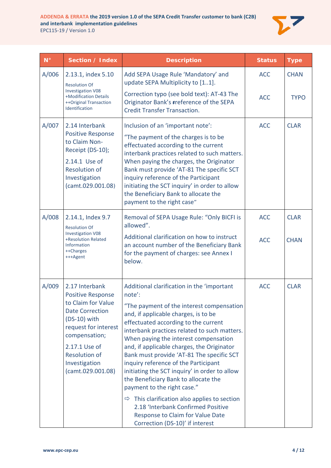

| $N^{\circ}$ | Section / Index                                                                                                                                                                                                                      | <b>Description</b>                                                                                                                                                                                                                                                                                                                                                                                                                                                                                                                                                                                                                                                                                                | <b>Status</b>            | <b>Type</b>                |
|-------------|--------------------------------------------------------------------------------------------------------------------------------------------------------------------------------------------------------------------------------------|-------------------------------------------------------------------------------------------------------------------------------------------------------------------------------------------------------------------------------------------------------------------------------------------------------------------------------------------------------------------------------------------------------------------------------------------------------------------------------------------------------------------------------------------------------------------------------------------------------------------------------------------------------------------------------------------------------------------|--------------------------|----------------------------|
| A/006       | 2.13.1, index 5.10<br>Add SEPA Usage Rule 'Mandatory' and<br>update SEPA Multiplicity to [11].<br><b>Resolution Of</b>                                                                                                               |                                                                                                                                                                                                                                                                                                                                                                                                                                                                                                                                                                                                                                                                                                                   | <b>ACC</b>               | <b>CHAN</b>                |
|             | <b>Investigation V08</b><br>+Modification Details<br>++Original Transaction<br>Identification                                                                                                                                        | Correction typo (see bold text): AT-43 The<br>Originator Bank's rreference of the SEPA<br><b>Credit Transfer Transaction.</b>                                                                                                                                                                                                                                                                                                                                                                                                                                                                                                                                                                                     | <b>ACC</b>               | <b>TYPO</b>                |
| A/007       | 2.14 Interbank<br><b>Positive Response</b><br>to Claim Non-<br>Receipt (DS-10);<br>2.14.1 Use of<br><b>Resolution of</b><br>Investigation<br>(camt.029.001.08)                                                                       | Inclusion of an 'important note':<br>"The payment of the charges is to be<br>effectuated according to the current<br>interbank practices related to such matters.<br>When paying the charges, the Originator<br>Bank must provide 'AT-81 The specific SCT<br>inquiry reference of the Participant<br>initiating the SCT inquiry' in order to allow<br>the Beneficiary Bank to allocate the<br>payment to the right case"                                                                                                                                                                                                                                                                                          | <b>ACC</b>               | <b>CLAR</b>                |
| A/008       | 2.14.1, Index 9.7<br><b>Resolution Of</b><br><b>Investigation V08</b><br>+Resolution Related<br>Information<br>++Charges<br>+++Agent                                                                                                 | Removal of SEPA Usage Rule: "Only BICFI is<br>allowed".<br>Additional clarification on how to instruct<br>an account number of the Beneficiary Bank<br>for the payment of charges: see Annex I<br>below.                                                                                                                                                                                                                                                                                                                                                                                                                                                                                                          | <b>ACC</b><br><b>ACC</b> | <b>CLAR</b><br><b>CHAN</b> |
| A/009       | 2.17 Interbank<br><b>Positive Response</b><br>to Claim for Value<br><b>Date Correction</b><br>$(DS-10)$ with<br>request for interest<br>compensation;<br>2.17.1 Use of<br><b>Resolution of</b><br>Investigation<br>(camt.029.001.08) | Additional clarification in the 'important<br>note':<br>"The payment of the interest compensation<br>and, if applicable charges, is to be<br>effectuated according to the current<br>interbank practices related to such matters.<br>When paying the interest compensation<br>and, if applicable charges, the Originator<br>Bank must provide 'AT-81 The specific SCT<br>inquiry reference of the Participant<br>initiating the SCT inquiry' in order to allow<br>the Beneficiary Bank to allocate the<br>payment to the right case."<br>This clarification also applies to section<br>$\Rightarrow$<br>2.18 'Interbank Confirmed Positive<br>Response to Claim for Value Date<br>Correction (DS-10)' if interest | <b>ACC</b>               | <b>CLAR</b>                |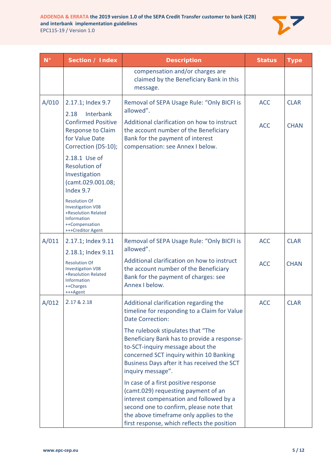

| $N^{\circ}$ | Section / Index                                                                                                                              | <b>Description</b>                                                                                                                                                                                                                                          | <b>Status</b> | <b>Type</b> |
|-------------|----------------------------------------------------------------------------------------------------------------------------------------------|-------------------------------------------------------------------------------------------------------------------------------------------------------------------------------------------------------------------------------------------------------------|---------------|-------------|
|             |                                                                                                                                              | compensation and/or charges are<br>claimed by the Beneficiary Bank in this<br>message.                                                                                                                                                                      |               |             |
| A/010       | 2.17.1; Index 9.7<br>Interbank<br>2.18<br><b>Confirmed Positive</b>                                                                          | Removal of SEPA Usage Rule: "Only BICFI is<br>allowed".<br>Additional clarification on how to instruct                                                                                                                                                      | <b>ACC</b>    | <b>CLAR</b> |
|             | Response to Claim<br>for Value Date<br>Correction (DS-10);                                                                                   | the account number of the Beneficiary<br>Bank for the payment of interest<br>compensation: see Annex I below.                                                                                                                                               | <b>ACC</b>    | <b>CHAN</b> |
|             | 2.18.1 Use of<br><b>Resolution of</b><br>Investigation<br>(camt.029.001.08;<br>Index 9.7                                                     |                                                                                                                                                                                                                                                             |               |             |
|             | <b>Resolution Of</b><br><b>Investigation V08</b><br>+Resolution Related<br><b>Information</b><br>++Compensation<br>+++Creditor Agent         |                                                                                                                                                                                                                                                             |               |             |
| A/011       | 2.17.1; Index 9.11                                                                                                                           | Removal of SEPA Usage Rule: "Only BICFI is<br>allowed".                                                                                                                                                                                                     | <b>ACC</b>    | <b>CLAR</b> |
|             | 2.18.1; Index 9.11<br><b>Resolution Of</b><br><b>Investigation V08</b><br>+Resolution Related<br><b>Information</b><br>++Charges<br>+++Agent | Additional clarification on how to instruct<br>the account number of the Beneficiary<br>Bank for the payment of charges: see<br>Annex I below.                                                                                                              | <b>ACC</b>    | <b>CHAN</b> |
| A/012       | 2.17 & 2.18                                                                                                                                  | Additional clarification regarding the<br>timeline for responding to a Claim for Value<br><b>Date Correction:</b>                                                                                                                                           | <b>ACC</b>    | <b>CLAR</b> |
|             |                                                                                                                                              | The rulebook stipulates that "The<br>Beneficiary Bank has to provide a response-<br>to-SCT-inquiry message about the<br>concerned SCT inquiry within 10 Banking<br>Business Days after it has received the SCT<br>inquiry message".                         |               |             |
|             |                                                                                                                                              | In case of a first positive response<br>(camt.029) requesting payment of an<br>interest compensation and followed by a<br>second one to confirm, please note that<br>the above timeframe only applies to the<br>first response, which reflects the position |               |             |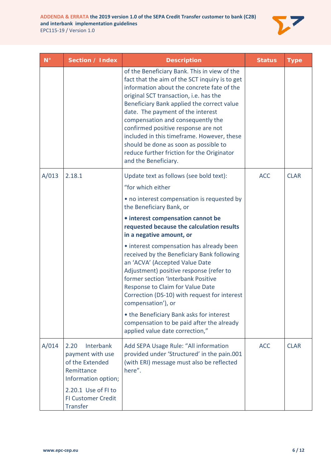

| $N^{\circ}$ | Section / Index                                                                               | <b>Description</b>                                                                                                                                                                                                                                                                                                                                                                                                                                                                                                 | <b>Status</b> | <b>Type</b> |
|-------------|-----------------------------------------------------------------------------------------------|--------------------------------------------------------------------------------------------------------------------------------------------------------------------------------------------------------------------------------------------------------------------------------------------------------------------------------------------------------------------------------------------------------------------------------------------------------------------------------------------------------------------|---------------|-------------|
|             |                                                                                               | of the Beneficiary Bank. This in view of the<br>fact that the aim of the SCT inquiry is to get<br>information about the concrete fate of the<br>original SCT transaction, i.e. has the<br>Beneficiary Bank applied the correct value<br>date. The payment of the interest<br>compensation and consequently the<br>confirmed positive response are not<br>included in this timeframe. However, these<br>should be done as soon as possible to<br>reduce further friction for the Originator<br>and the Beneficiary. |               |             |
| A/013       | 2.18.1                                                                                        | Update text as follows (see bold text):                                                                                                                                                                                                                                                                                                                                                                                                                                                                            | <b>ACC</b>    | <b>CLAR</b> |
|             |                                                                                               | "for which either                                                                                                                                                                                                                                                                                                                                                                                                                                                                                                  |               |             |
|             |                                                                                               | • no interest compensation is requested by<br>the Beneficiary Bank, or                                                                                                                                                                                                                                                                                                                                                                                                                                             |               |             |
|             |                                                                                               | · interest compensation cannot be<br>requested because the calculation results<br>in a negative amount, or                                                                                                                                                                                                                                                                                                                                                                                                         |               |             |
|             |                                                                                               | • interest compensation has already been<br>received by the Beneficiary Bank following<br>an 'ACVA' (Accepted Value Date<br>Adjustment) positive response (refer to<br>former section 'Interbank Positive<br>Response to Claim for Value Date<br>Correction (DS-10) with request for interest<br>compensation'), or                                                                                                                                                                                                |               |             |
|             |                                                                                               | • the Beneficiary Bank asks for interest<br>compensation to be paid after the already<br>applied value date correction,"                                                                                                                                                                                                                                                                                                                                                                                           |               |             |
| A/014       | 2.20<br>Interbank<br>payment with use<br>of the Extended<br>Remittance<br>Information option; | Add SEPA Usage Rule: "All information<br>provided under 'Structured' in the pain.001<br>(with ERI) message must also be reflected<br>here".                                                                                                                                                                                                                                                                                                                                                                        | <b>ACC</b>    | <b>CLAR</b> |
|             | 2.20.1 Use of FI to<br><b>FI Customer Credit</b><br><b>Transfer</b>                           |                                                                                                                                                                                                                                                                                                                                                                                                                                                                                                                    |               |             |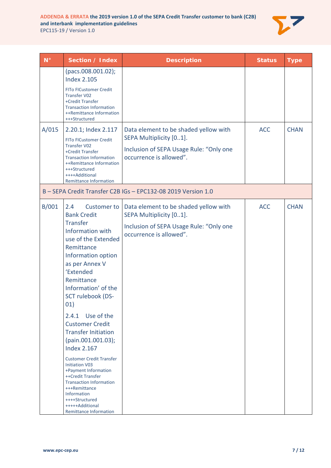

| $\mathbf{N}^{\circ}$ | Section / Index                                                                                                                                                                                                                                                                                                                                                                                                                                                                                                                                                                                                               | <b>Description</b>                                                                                                                     | <b>Status</b> | <b>Type</b> |
|----------------------|-------------------------------------------------------------------------------------------------------------------------------------------------------------------------------------------------------------------------------------------------------------------------------------------------------------------------------------------------------------------------------------------------------------------------------------------------------------------------------------------------------------------------------------------------------------------------------------------------------------------------------|----------------------------------------------------------------------------------------------------------------------------------------|---------------|-------------|
|                      | (pacs.008.001.02);<br><b>Index 2.105</b><br><b>FITo FICustomer Credit</b><br><b>Transfer V02</b><br>+Credit Transfer<br><b>Transaction Information</b><br>++Remittance Information<br>+++Structured                                                                                                                                                                                                                                                                                                                                                                                                                           |                                                                                                                                        |               |             |
| A/015                | 2.20.1; Index 2.117<br><b>FITo FICustomer Credit</b><br><b>Transfer V02</b><br>+Credit Transfer<br><b>Transaction Information</b><br>++Remittance Information<br>+++Structured<br>++++Additional<br><b>Remittance Information</b>                                                                                                                                                                                                                                                                                                                                                                                             | Data element to be shaded yellow with<br>SEPA Multiplicity [01].<br>Inclusion of SEPA Usage Rule: "Only one<br>occurrence is allowed". | <b>ACC</b>    | <b>CHAN</b> |
|                      |                                                                                                                                                                                                                                                                                                                                                                                                                                                                                                                                                                                                                               | B-SEPA Credit Transfer C2B IGs-EPC132-08 2019 Version 1.0                                                                              |               |             |
| B/001                | 2.4<br><b>Customer to</b><br><b>Bank Credit</b><br><b>Transfer</b><br>Information with<br>use of the Extended<br>Remittance<br>Information option<br>as per Annex V<br>'Extended<br>Remittance<br>Information' of the<br>SCT rulebook (DS-<br>01)<br>Use of the<br>2.4.1<br><b>Customer Credit</b><br><b>Transfer Initiation</b><br>(pain.001.001.03);<br><b>Index 2.167</b><br><b>Customer Credit Transfer</b><br><b>Initiation V03</b><br>+Payment Information<br>++Credit Transfer<br><b>Transaction Information</b><br>+++Remittance<br><b>Information</b><br>++++Structured<br>+++++Additional<br>Remittance Information | Data element to be shaded yellow with<br>SEPA Multiplicity [01].<br>Inclusion of SEPA Usage Rule: "Only one<br>occurrence is allowed". | <b>ACC</b>    | <b>CHAN</b> |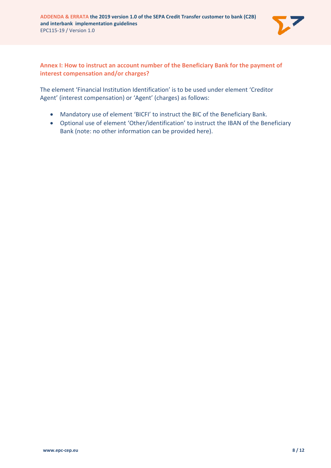

### **Annex I: How to instruct an account number of the Beneficiary Bank for the payment of interest compensation and/or charges?**

The element 'Financial Institution Identification' is to be used under element 'Creditor Agent' (interest compensation) or 'Agent' (charges) as follows:

- Mandatory use of element 'BICFI' to instruct the BIC of the Beneficiary Bank.
- Optional use of element 'Other/identification' to instruct the IBAN of the Beneficiary Bank (note: no other information can be provided here).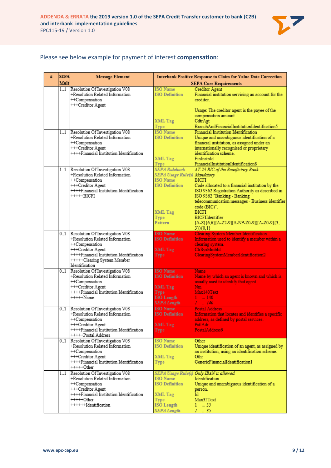

#### Please see below example for payment of interest **compensation**:

| # | <b>SEPA</b> | <b>Message Element</b>                                             | Interbank Positive Response to Claim for Value Date Correction |                                                                                          |
|---|-------------|--------------------------------------------------------------------|----------------------------------------------------------------|------------------------------------------------------------------------------------------|
|   | Mult        |                                                                    |                                                                | <b>SEPA Core Requirements</b>                                                            |
|   | 11          | Resolution Of Investigation V08                                    | <b>ISO</b> Name                                                | <b>Creditor Agent</b>                                                                    |
|   |             | +Resolution Related Information                                    | <b>ISO Definition</b>                                          | Financial institution servicing an account for the                                       |
|   |             | ++Compensation                                                     |                                                                | creditor.                                                                                |
|   |             | +++Creditor Agent                                                  |                                                                |                                                                                          |
|   |             |                                                                    |                                                                | Usage: The creditor agent is the payee of the                                            |
|   |             |                                                                    |                                                                | compensation amount.                                                                     |
|   |             |                                                                    | XML Tag                                                        | CdtrAgt                                                                                  |
|   |             |                                                                    | Type                                                           | BranchAndFinancialInstitutionIdentification5                                             |
|   | 1.1         | Resolution Of Investigation V08<br>+Resolution Related Information | <b>ISO</b> Name<br><b>ISO Definition</b>                       | Financial Institution Identification                                                     |
|   |             | ++Compensation                                                     |                                                                | Unique and unambiguous identification of a                                               |
|   |             | +++Creditor Agent                                                  |                                                                | financial institution, as assigned under an<br>internationally recognised or proprietary |
|   |             | ++++Financial Institution Identification                           |                                                                | identification scheme.                                                                   |
|   |             |                                                                    | XML Tag                                                        | FinInstnId                                                                               |
|   |             |                                                                    | <b>Type</b>                                                    | FinancialInstitutionIdentification8                                                      |
|   | 11          | Resolution Of Investigation V08                                    | <b>SEPA Rulebook</b>                                           | AT-23 BIC of the Beneficiary Bank.                                                       |
|   |             | +Resolution Related Information                                    | SEPA Usage Rule(s) Mandatory                                   |                                                                                          |
|   |             | ++Compensation                                                     | <b>ISO</b> Name                                                | <b>BICFI</b>                                                                             |
|   |             | +++Creditor Agent                                                  | <b>ISO Definition</b>                                          | Code allocated to a financial institution by the                                         |
|   |             | ++++Financial Institution Identification                           |                                                                | ISO 9362 Registration Authority as described in                                          |
|   |             | $++++-BICFI$                                                       |                                                                | ISO 9362 "Banking - Banking                                                              |
|   |             |                                                                    |                                                                | telecommunication messages - Business identifier                                         |
|   |             |                                                                    |                                                                | code (BIC)".                                                                             |
|   |             |                                                                    | XML Tag                                                        | <b>BICFI</b>                                                                             |
|   |             |                                                                    | Type                                                           | BICFIIdentifier                                                                          |
|   |             |                                                                    | Pattern                                                        | [A-Z]{6,6}[A-Z2-9][A-NP-Z0-9]([A-Z0-9]{3,                                                |
|   |             |                                                                    |                                                                | $3\}$ $(0,1)$                                                                            |
|   | 01          | Resolution Of Investigation V08                                    | <b>ISO</b> Name                                                | <b>Clearing System Member Identification</b>                                             |
|   |             | +Resolution Related Information                                    | <b>ISO Definition</b>                                          | Information used to identify a member within a                                           |
|   |             | ++Compensation                                                     |                                                                | clearing system.                                                                         |
|   |             | +++Creditor Agent                                                  | XML Tag                                                        | ClrSysMmbId                                                                              |
|   |             | ++++Financial Institution Identification                           | Type                                                           | ClearingSystemMemberIdentification2                                                      |
|   |             | +++++Clearing System Member                                        |                                                                |                                                                                          |
|   |             | Identification                                                     |                                                                |                                                                                          |
|   | 01          | Resolution Of Investigation V08<br>+Resolution Related Information | <b>ISO</b> Name<br><b>ISO Definition</b>                       | Name<br>Name by which an agent is known and which is                                     |
|   |             | ++Compensation                                                     |                                                                | usually used to identify that agent.                                                     |
|   |             | +++Creditor Agent                                                  | XML Tag                                                        | Nm.                                                                                      |
|   |             | ++++Financial Institution Identification                           | Type                                                           | Max140Text                                                                               |
|   |             | $++++\$                                                            | <b>ISO</b> Length                                              | $1 - 140$                                                                                |
|   |             |                                                                    | <b>SEPA</b> Length                                             | $I_{\perp}$ = 140                                                                        |
|   | 01          | Resolution Of Investigation V08                                    | <b>ISO</b> Name                                                | <b>Postal Address</b>                                                                    |
|   |             | +Resolution Related Information                                    | <b>ISO Definition</b>                                          | Information that locates and identifies a specific                                       |
|   |             | ++Compensation                                                     |                                                                | address, as defined by postal services.                                                  |
|   |             | +++Creditor Agent                                                  | XML Tag                                                        | PstlAdr                                                                                  |
|   |             | ++++Financial Institution Identification                           | Type                                                           | PostalAddress6                                                                           |
|   |             | +++++Postal Address                                                |                                                                |                                                                                          |
|   | 01          | Resolution Of Investigation V08                                    | <b>ISO</b> Name                                                | Other                                                                                    |
|   |             | +Resolution Related Information                                    | <b>ISO Definition</b>                                          | Unique identification of an agent, as assigned by                                        |
|   |             | ++Compensation                                                     |                                                                | an institution, using an identification scheme.                                          |
|   |             | +++Creditor Agent                                                  | XML Tag                                                        | Othr                                                                                     |
|   |             | ++++Financial Institution Identification                           | <b>Type</b>                                                    | GenericFinancialIdentification1                                                          |
|   |             | +++++Other                                                         |                                                                |                                                                                          |
|   | 11          | Resolution Of Investigation V08                                    |                                                                | SEPA Usage Rule(s) Only IBAN is allowed.                                                 |
|   |             | +Resolution Related Information                                    | <b>ISO</b> Name                                                | Identification                                                                           |
|   |             | ++Compensation                                                     | <b>ISO Definition</b>                                          | Unique and unambiguous identification of a                                               |
|   |             | +++Creditor Agent                                                  |                                                                | person.                                                                                  |
|   |             | ++++Financial Institution Identification                           | XML Tag                                                        | Id                                                                                       |
|   |             | +++++Other                                                         | Type                                                           | Max35Text                                                                                |
|   |             | ++++++Hdentification                                               | <b>ISO</b> Length                                              | 135                                                                                      |
|   |             |                                                                    | <b>SEPA Length</b>                                             | $I = .35$                                                                                |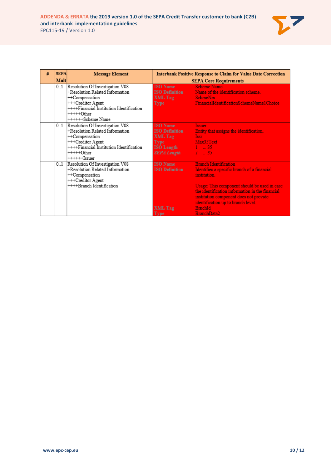

| # | <b>SEPA</b> | <b>Message Element</b>                                                                                                                                                                    | <b>Interbank Positive Response to Claim for Value Date Correction</b>      |                                                                                                                                                                                                                                                                                                                 |
|---|-------------|-------------------------------------------------------------------------------------------------------------------------------------------------------------------------------------------|----------------------------------------------------------------------------|-----------------------------------------------------------------------------------------------------------------------------------------------------------------------------------------------------------------------------------------------------------------------------------------------------------------|
|   | <b>Mult</b> |                                                                                                                                                                                           |                                                                            | <b>SEPA Core Requirements</b>                                                                                                                                                                                                                                                                                   |
|   | 01          | Resolution Of Investigation V08<br>+Resolution Related Information<br>++Compensation<br>+++Creditor Agent<br>++++Financial Institution Identification<br>$++++Other$<br>++++++Scheme Name | <b>ISO</b> Name<br><b>ISO Definition</b><br>XML Tag<br><b>Type</b>         | <b>Scheme Name</b><br>Name of the identification scheme.<br><b>SchmeNm</b><br>FinancialIdentificationSchemeName1Choice                                                                                                                                                                                          |
|   | 01          | Resolution Of Investigation V08<br>+Resolution Related Information<br>++Compensation<br>+++Creditor Agent<br>++++Financial Institution Identification<br>+++++Other<br>$+++++Issuer$      | <b>ISO</b> Name<br><b>ISO Definition</b><br>XML Tag<br>Type<br>SEPA Length | <b>Issuer</b><br>Entity that assigns the identification.<br><b>Issr</b><br>Max35Text<br>$I = 35$                                                                                                                                                                                                                |
|   | 01          | Resolution Of Investigation V08<br>+Resolution Related Information<br>++Compensation<br>+++Creditor Agent<br>++++Branch Identification                                                    | <b>ISO</b> Name<br><b>ISO Definition</b><br>XML Tag<br>Type                | <b>Branch Identification</b><br>Identifies a specific branch of a financial<br>institution.<br>Usage: This component should be used in case<br>the identification information in the financial<br>institution component does not provide<br>identification up to branch level.<br><b>BrnchId</b><br>BranchData2 |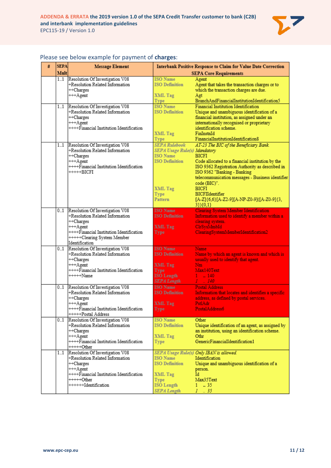

| # | <b>SEPA</b> | <b>Message Element</b>                                             |                                          | <b>Interbank Positive Response to Claim for Value Date Correction</b>                    |
|---|-------------|--------------------------------------------------------------------|------------------------------------------|------------------------------------------------------------------------------------------|
|   | Mult        |                                                                    |                                          | <b>SEPA Core Requirements</b>                                                            |
|   | 11          | Resolution Of Investigation V08<br>+Resolution Related Information | <b>ISO</b> Name<br><b>ISO Definition</b> | Agent                                                                                    |
|   |             | ++Charges                                                          |                                          | Agent that takes the transaction charges or to<br>which the transaction charges are due. |
|   |             | +++Agent                                                           | XML Tag                                  | Agt                                                                                      |
|   |             |                                                                    | Type                                     | BranchAndFinancialInstitutionIdentification5                                             |
|   | 11          | Resolution Of Investigation V08                                    | <b>ISO</b> Name                          | Financial Institution Identification                                                     |
|   |             | +Resolution Related Information                                    | <b>ISO Definition</b>                    | Unique and unambiguous identification of a                                               |
|   |             | ++Charges                                                          |                                          | financial institution, as assigned under an                                              |
|   |             | +++Agent<br>++++Financial Institution Identification               |                                          | internationally recognised or proprietary<br>identification scheme.                      |
|   |             |                                                                    | XML Tag                                  | FinInstnId                                                                               |
|   |             |                                                                    | Type                                     | FinancialInstitutionIdentification8                                                      |
|   | 1.1         | Resolution Of Investigation V08                                    | <b>SEPA</b> Rulebook                     | AT-23 The BIC of the Beneficiary Bank.                                                   |
|   |             | +Resolution Related Information                                    | SEPA Usage Rule(s) Mandatory             |                                                                                          |
|   |             | ++Charges                                                          | <b>ISO</b> Name                          | <b>BICFI</b>                                                                             |
|   |             | +++Agent                                                           | <b>ISO Definition</b>                    | Code allocated to a financial institution by the                                         |
|   |             | ++++Financial Institution Identification                           |                                          | ISO 9362 Registration Authority as described in                                          |
|   |             | +++++BICFI                                                         |                                          | ISO 9362 "Banking - Banking<br>telecommunication messages - Business identifier          |
|   |             |                                                                    |                                          | code (BIC)".                                                                             |
|   |             |                                                                    | XML Tag                                  | BICFI                                                                                    |
|   |             |                                                                    | Type                                     | BICFIIdentifier                                                                          |
|   |             |                                                                    | Pattern                                  | [A-Z]{6,6}[A-Z2-9][A-NP-Z0-9]([A-Z0-9]{3,                                                |
|   |             |                                                                    |                                          | $3\}$ (0,1}                                                                              |
|   | 01          | Resolution Of Investigation V08<br>+Resolution Related Information | <b>ISO</b> Name<br><b>ISO Definition</b> | <b>Clearing System Member Identification</b>                                             |
|   |             | ++Charges                                                          |                                          | Information used to identify a member within a<br>clearing system.                       |
|   |             | +++Agent                                                           | XML Tag                                  | ClrSysMmbId                                                                              |
|   |             | ++++Financial Institution Identification                           | Type                                     | ClearingSystemMemberIdentification2                                                      |
|   |             | +++++Clearing System Member                                        |                                          |                                                                                          |
|   |             | Identification                                                     |                                          |                                                                                          |
|   | 01          | Resolution Of Investigation V08                                    | <b>ISO</b> Name                          | Name                                                                                     |
|   |             | +Resolution Related Information                                    | <b>ISO Definition</b>                    | Name by which an agent is known and which is                                             |
|   |             | ++Charges<br>+++Agent                                              | XML Tag                                  | usually used to identify that agent.<br>Nm                                               |
|   |             | ++++Financial Institution Identification                           | Type                                     | Max140Text                                                                               |
|   |             | +++++Name                                                          | <b>ISO</b> Length                        | $1 - 140$                                                                                |
|   |             |                                                                    | <b>SEPA Length</b>                       | $I = 140$                                                                                |
|   |             | 01 Resolution Of Investigation V08                                 | <b>ISO</b> Name                          | <b>Postal Address</b>                                                                    |
|   |             | +Resolution Related Information                                    | <b>ISO Definition</b>                    | Information that locates and identifies a specific                                       |
|   |             | ++Charges                                                          |                                          | address, as defined by postal services.                                                  |
|   |             | +++Agent                                                           | XML Tag                                  | PstlAdr                                                                                  |
|   |             | ++++Financial Institution Identification<br>+++++Postal Address    | Type                                     | PostalAddress6                                                                           |
|   | 01          | Resolution Of Investigation V08                                    | <b>ISO</b> Name                          | Other                                                                                    |
|   |             | +Resolution Related Information                                    | <b>ISO Definition</b>                    | Unique identification of an agent, as assigned by                                        |
|   |             | ++Charges                                                          |                                          | an institution, using an identification scheme.                                          |
|   |             | +++Agent                                                           | XML Tag                                  | Othr                                                                                     |
|   |             | ++++Financial Institution Identification                           | Type                                     | GenericFinancialIdentification1                                                          |
|   |             | $++++Other$                                                        |                                          |                                                                                          |
|   | $1_{-1}$    | Resolution Of Investigation V08                                    |                                          | SEPA Usage Rule(s) Only IBAN is allowed                                                  |
|   |             | +Resolution Related Information                                    | <b>ISO</b> Name<br><b>ISO Definition</b> | Identification                                                                           |
|   |             | $++Charges$<br>+++Agent                                            |                                          | Unique and unambiguous identification of a<br>person.                                    |
|   |             | ++++Financial Institution Identification                           | XML Tag                                  | Id.                                                                                      |
|   |             | +++++Other                                                         | Type                                     | Max35Text                                                                                |
|   |             | ++++++Hdentification                                               | <b>ISO</b> Length                        | $1 \t35$                                                                                 |
|   |             |                                                                    | <b>SEPA Length</b>                       | $1 - .35$                                                                                |

#### Please see below example for payment of **charges**: